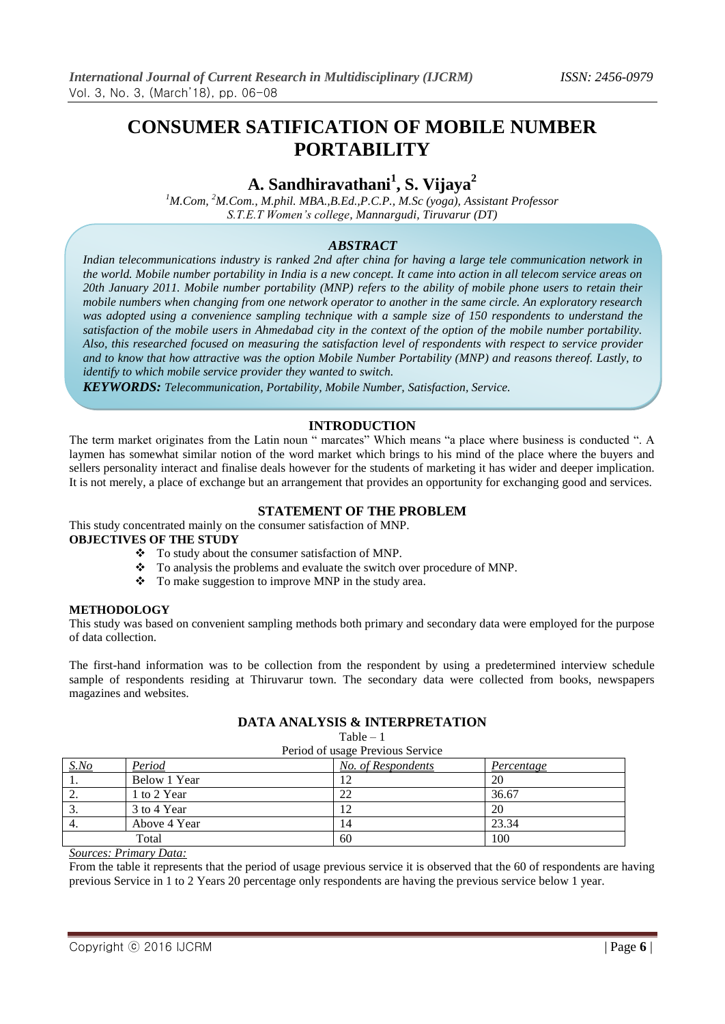# **CONSUMER SATIFICATION OF MOBILE NUMBER PORTABILITY**

## **A. Sandhiravathani<sup>1</sup> , S. Vijaya<sup>2</sup>**

*<sup>1</sup>M.Com, <sup>2</sup>M.Com., M.phil. MBA.,B.Ed.,P.C.P., M.Sc (yoga), Assistant Professor S.T.E.T Women's college, Mannargudi, Tiruvarur (DT)*

### *ABSTRACT*

*Indian telecommunications industry is ranked 2nd after china for having a large tele communication network in the world. Mobile number portability in India is a new concept. It came into action in all telecom service areas on 20th January 2011. Mobile number portability (MNP) refers to the ability of mobile phone users to retain their mobile numbers when changing from one network operator to another in the same circle. An exploratory research was adopted using a convenience sampling technique with a sample size of 150 respondents to understand the satisfaction of the mobile users in Ahmedabad city in the context of the option of the mobile number portability. Also, this researched focused on measuring the satisfaction level of respondents with respect to service provider and to know that how attractive was the option Mobile Number Portability (MNP) and reasons thereof. Lastly, to identify to which mobile service provider they wanted to switch.*

*KEYWORDS: Telecommunication, Portability, Mobile Number, Satisfaction, Service.*

## **INTRODUCTION**

The term market originates from the Latin noun " marcates" Which means "a place where business is conducted ". A laymen has somewhat similar notion of the word market which brings to his mind of the place where the buyers and sellers personality interact and finalise deals however for the students of marketing it has wider and deeper implication. It is not merely, a place of exchange but an arrangement that provides an opportunity for exchanging good and services.

#### **STATEMENT OF THE PROBLEM**

This study concentrated mainly on the consumer satisfaction of MNP. **OBJECTIVES OF THE STUDY**

- \* To study about the consumer satisfaction of MNP.
- \* To analysis the problems and evaluate the switch over procedure of MNP.
- $\bullet$  To make suggestion to improve MNP in the study area.

#### **METHODOLOGY**

This study was based on convenient sampling methods both primary and secondary data were employed for the purpose of data collection.

The first-hand information was to be collection from the respondent by using a predetermined interview schedule sample of respondents residing at Thiruvarur town. The secondary data were collected from books, newspapers magazines and websites.

## **DATA ANALYSIS & INTERPRETATION**

Table – 1

| Period of usage Previous Service |              |                    |            |  |  |
|----------------------------------|--------------|--------------------|------------|--|--|
| S.No                             | Period       | No. of Respondents | Percentage |  |  |
|                                  | Below 1 Year |                    | 20         |  |  |
| ۷.                               | 1 to 2 Year  | 22                 | 36.67      |  |  |
| . ب                              | 3 to 4 Year  | 12                 | 20         |  |  |
| 4.                               | Above 4 Year | 14                 | 23.34      |  |  |
| Total                            |              | 60                 | 100        |  |  |

#### *Sources: Primary Data:*

From the table it represents that the period of usage previous service it is observed that the 60 of respondents are having previous Service in 1 to 2 Years 20 percentage only respondents are having the previous service below 1 year.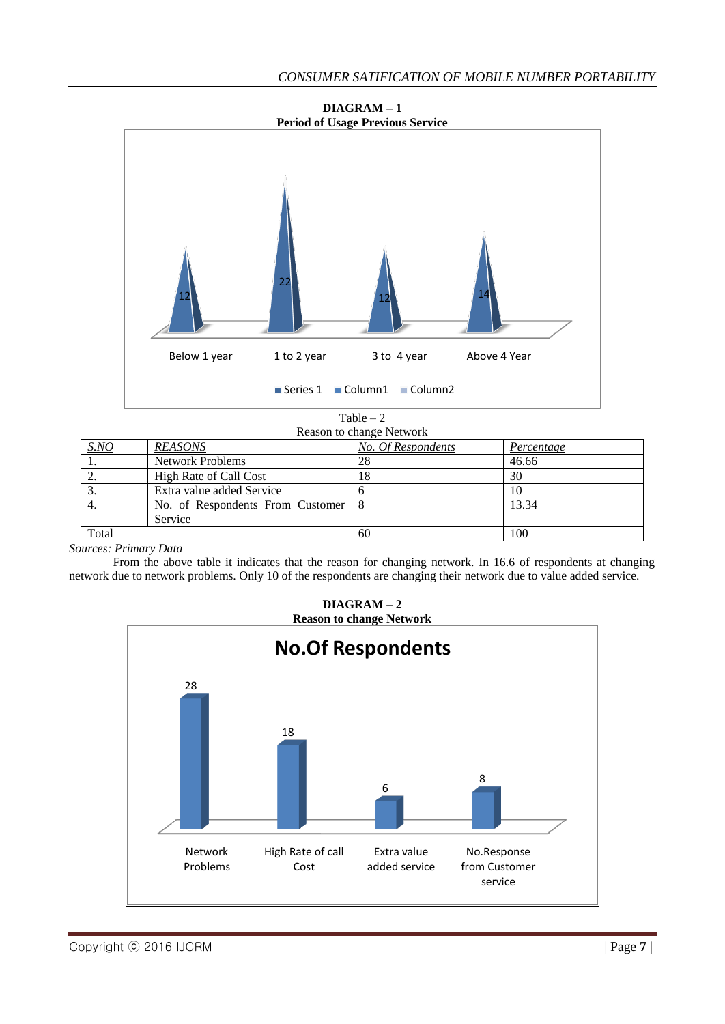

**DIAGRAM – 1**



| SNO   | <b>REASONS</b>                   | No. Of Respondents | Percentage |  |
|-------|----------------------------------|--------------------|------------|--|
|       | <b>Network Problems</b>          | 28                 | 46.66      |  |
| ۷.    | High Rate of Call Cost           | 18                 | 30         |  |
| Ć.    | Extra value added Service        |                    | 10         |  |
|       | No. of Respondents From Customer | -8                 | 13.34      |  |
|       | Service                          |                    |            |  |
| Total |                                  | 60                 | 100        |  |

*Sources: Primary Data*

From the above table it indicates that the reason for changing network. In 16.6 of respondents at changing network due to network problems. Only 10 of the respondents are changing their network due to value added service.